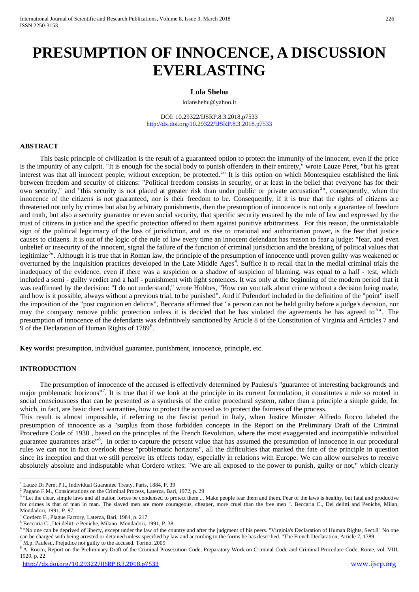# **PRESUMPTION OF INNOCENCE, A DISCUSSION EVERLASTING**

#### **Lola Shehu**

lolanshehu@yahoo.it

DOI: 10.29322/IJSRP.8.3.2018.p7533 [http://dx.doi.org/10.29322/IJSRP.8.3.2018.p753](http://dx.doi.org/10.29322/IJSRP.8.3.2018.p75)3

# **ABSTRACT**

This basic principle of civilization is the result of a guaranteed option to protect the immunity of the innocent, even if the price is the impunity of any culprit. "It is enough for the social body to punish offenders in their entirety," wrote Lauze Peret, "but his great interest was that all innocent people, without exception, be protected.<sup>[1](#page-0-0)</sup>" It is this option on which Montesquieu established the link between freedom and security of citizens: "Political freedom consists in security, or at least in the belief that everyone has for their own security," and "this security is not placed at greater risk than under public or private accusation<sup>[2](#page-0-1)</sup>", consequently, when the innocence of the citizens is not guaranteed, nor is their freedom to be. Consequently, if it is true that the rights of citizens are threatened not only by crimes but also by arbitrary punishments, then the presumption of innocence is not only a guarantee of freedom and truth, but also a security guarantee or even social security, that specific security ensured by the rule of law and expressed by the trust of citizens in justice and the specific protection offered to them against punitive arbitrariness. For this reason, the unmistakable sign of the political legitimacy of the loss of jurisdiction, and its rise to irrational and authoritarian power, is the fear that justice causes to citizens. It is out of the logic of the rule of law every time an innocent defendant has reason to fear a judge: "fear, and even unbelief or insecurity of the innocent, signal the failure of the function of criminal jurisdiction and the breaking of political values that legitimize<sup>[3](#page-0-2)</sup>". Although it is true that in Roman law, the principle of the presumption of innocence until proven guilty was weakened or overturned by the Inquisition practices developed in the Late Middle Ages<sup>[4](#page-0-3)</sup>. Suffice it to recall that in the medial criminal trials the inadequacy of the evidence, even if there was a suspicion or a shadow of suspicion of blaming, was equal to a half - test, which included a semi - guilty verdict and a half - punishment with light sentences. It was only at the beginning of the modern period that it was reaffirmed by the decision: "I do not understand," wrote Hobbes, "How can you talk about crime without a decision being made, and how is it possible, always without a previous trial, to be punished". And if Pufendorf included in the definition of the "point" itself the imposition of the "post cognition en delictis", Beccaria affirmed that "a person can not be held guilty before a judge's decision, nor may the company remove public protection unless it is decided that he has violated the agreements he has agreed to<sup>[5](#page-0-4)</sup>". The presumption of innocence of the defendants was definitively sanctioned by Article 8 of the Constitution of Virginia and Articles 7 and 9 of the Declaration of Human Rights of 1789<sup>[6](#page-0-5)</sup>.

**Key words:** presumption, individual guarantee, punishment, innocence, principle, etc.

#### **INTRODUCTION**

The presumption of innocence of the accused is effectively determined by Paulesu's "guarantee of interesting backgrounds and major problematic horizons"<sup>[7](#page-0-6)</sup>. It is true that if we look at the principle in its current formulation, it constitutes a rule so rooted in social consciousness that can be presented as a synthesis of the entire procedural system, rather than a principle a simple guide, for which, in fact, are basic direct warranties, how to protect the accused as to protect the fairness of the process.

This result is almost impossible, if referring to the fascist period in Italy, when Justice Minister Alfredo Rocco labeled the presumption of innocence as a "surplus from those forbidden concepts in the Report on the Preliminary Draft of the Criminal Procedure Code of 1930 , based on the principles of the French Revolution, where the most exaggerated and incompatible individual guarantee guarantees arise"<sup>[8](#page-0-7)</sup>. In order to capture the present value that has assumed the presumption of innocence in our procedural rules we can not in fact overlook these "problematic horizons", all the difficulties that marked the fate of the principle in question since its inception and that we still perceive its effects today, especially in relations with Europe. We can allow ourselves to receive absolutely absolute and indisputable what Cordero writes: "We are all exposed to the power to punish, guilty or not," which clearly

<span id="page-0-8"></span><span id="page-0-0"></span><sup>1</sup> Lauzè Di Peret P.I., Individual Guarantee Treaty, Paris, 1884, P. 39

<span id="page-0-1"></span><sup>2</sup> Pagano F.M., Considerations on the Criminal Process, Laterza, Bari, 1972, p. 29

<span id="page-0-2"></span><sup>&</sup>lt;sup>3</sup> "Let the clear, simple laws and all nation forces be condensed to protect them ... Make people fear them and them. Fear of the laws is healthy, but fatal and productive for crimes is that of man in man. The slaved men are more courageous, cheaper, more cruel than the free men ". Beccaria C., Dei delitti and Peniche, Milan, Mondadori, 1991, P. 97.

<span id="page-0-3"></span><sup>4</sup> Cordero F., Plague Factory, Laterza, Bari, 1984, p. 217

<span id="page-0-4"></span><sup>5</sup> Beccaria C., Dei delitti e Peniche, Milano, Mondadori, 1991, P. 38

<span id="page-0-5"></span><sup>6</sup> "No one can be deprived of liberty, except under the law of the country and after the judgment of his peers. "Virginia's Declaration of Human Rights, Sect.8" No one can be charged with being arrested or detained unless specified by law and according to the forms he has described. "The French Declaration, Article 7, 1789 <sup>7</sup> M.p. Paulesu, Prejudice not guilty to the accused, Torino, 2009

<span id="page-0-7"></span><span id="page-0-6"></span><sup>&</sup>lt;sup>8</sup> A. Rocco, Report on the Preliminary Draft of the Criminal Prosecution Code, Preparatory Work on Criminal Code and Criminal Procedure Code, Rome, vol. VIII, 1929, p. 22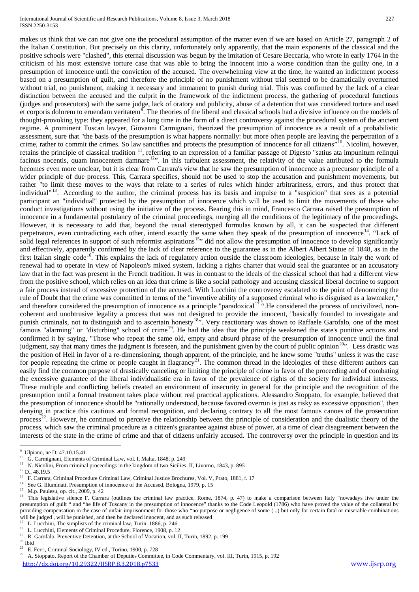#### International Journal of Scientific and Research Publications, Volume 8, Issue 3, March 2018 227 ISSN 2250-3153

makes us think that we can not give one the procedural assumption of the matter even if we are based on Article 27, paragraph 2 of the Italian Constitution. But precisely on this clarity, unfortunately only apparently, that the main exponents of the classical and the positive schools were "clashed", this eternal discussion was begun by the imitation of Cesare Beccaria, who wrote in early 1764 in the criticism of his most extensive torture case that was able to bring the innocent into a worse condition than the guilty one, in a presumption of innocence until the conviction of the accused. The overwhelming view at the time, he wanted an indictment process based on a presumption of guilt, and therefore the principle of no punishment without trial seemed to be dramatically overturned without trial, no punishment, making it necessary and immanent to punish during trial. This was confirmed by the lack of a clear distinction between the accused and the culprit in the framework of the indictment process, the gathering of procedural functions (judges and prosecutors) with the same judge, lack of oratory and publicity, abuse of a detention that was considered torture and used et corporis dolorem to eruendam veritatem<sup>[9](#page-0-8)</sup>. The theories of the liberal and classical schools had a divisive influence on the models of thought-provoking type: they appeared for a long time in the form of a direct controversy against the procedural system of the ancient regime. A prominent Tuscan lawyer, Giovanni Carmignani, theorized the presumption of innocence as a result of a probabilistic assessment, sure that "the basis of the presumption is what happens normally: but more often people are leaving the perpetration of a crime, rather to commit the crimes. So law sanctifies and protects the presumption of innocence for all citizens"[10](#page-1-0). Nicolini, however, retains the principle of classical tradition <sup>[11](#page-1-1)</sup>, referring to an expression of a familiar passage of Digesto "satius ata impunitum relinqui facinus nocentis, quam innocentem damnare<sup>[12](#page-1-2)</sup>". In this turbulent assessment, the relativity of the value attributed to the formula becomes even more unclear, but it is clear from Carrara's view that he saw the presumption of innocence as a precursor principle of a wider principle of due process. This, Carrara specifies, should not be used to stop the accusation and punishment movements, but rather "to limit these moves to the ways that relate to a series of rules which hinder arbitrariness, errors, and thus protect that individual"<sup>[13](#page-1-3)</sup>. According to the author, the criminal process has its basis and impulse to a "suspicion" that sees as a potential participant an "individual" protected by the presumption of innocence which will be used to limit the movements of those who conduct investigations without using the initiative of the process. Bearing this in mind, Francesco Carrara raised the presumption of innocence in a fundamental postulancy of the criminal proceedings, merging all the conditions of the legitimacy of the proceedings. However, it is necessary to add that, beyond the usual stereotyped formulas known by all, it can be suspected that different perpetrators, even contradicting each other, intend exactly the same when they speak of the presumption of innocence<sup>[14](#page-1-4)</sup>. "Lack of solid legal references in support of such reformist aspirations<sup>15</sup>" did not allow the presumption of innocence to develop significantly and effectively, apparently confirmed by the lack of clear reference to the guarantee as in the Albert Albert Statue of 1848, as in the first Italian single code<sup>16</sup>. This explains the lack of regulatory action outside the classroom ideologies, because in Italy the work of renewal had to operate in view of Napoleon's mixed system, lacking a rights charter that would seal the guarantee or an accusatory law that in the fact was present in the French tradition. It was in contrast to the ideals of the classical school that had a different view from the positive school, which relies on an idea that crime is like a social pathology and accusing classical liberal doctrine to support a fair process instead of excessive protection of the accused. With Lucchini the controversy escalated to the point of denouncing the rule of Doubt that the crime was committed in terms of the "inventive ability of a supposed criminal who is disguised as a lawmaker," and therefore considered the presumption of innocence as a principle "paradoxical<sup>[17](#page-1-7)"</sup>. He considered the process of uncivilized, noncoherent and unobtrusive legality a process that was not designed to provide the innocent, "basically founded to investigate and punish criminals, not to distinguish and to ascertain honesty<sup>[18](#page-1-8)</sup>". Very reactionary was shown to Raffaele Garofalo, one of the most famous "alarming" or "disturbing" school of crime<sup>[19](#page-1-9)</sup>. He had the idea that the principle weakened the state's punitive actions and confirmed it by saying, "Those who repeat the same old, empty and absurd phrase of the presumption of innocence until the final judgment, say that many times the judgment is foreseen, and the punishment given by the court of public opinion<sup>20</sup>". Less drastic was the position of Hell in favor of a re-dimensioning, though apparent, of the principle, and he knew some "truths" unless it was the case for people repeating the crime or people caught in flagrancy<sup>21</sup>. The common thread in the ideologies of these different authors can easily find the common purpose of drastically canceling or limiting the principle of crime in favor of the proceeding and of combating the excessive guarantee of the liberal individualistic era in favor of the prevalence of rights of the society for individual interests. These multiple and conflicting beliefs created an environment of insecurity in general for the principle and the recognition of the presumption until a formal treatment takes place without real practical applications. Alessandro Stoppato, for example, believed that the presumption of innocence should be "rationally understood, because favored overrun is just as risky as excessive opposition", then denying in practice this cautious and formal recognition, and declaring contrary to all the most famous canoes of the prosecution process<sup>[22](#page-1-12)</sup>. However, he continued to perceive the relationship between the principle of consideration and the dualistic theory of the process, which saw the criminal procedure as a citizen's guarantee against abuse of power, at a time of clear disagreement between the interests of the state in the crime of crime and that of citizens unfairly accused. The controversy over the principle in question and its

[http://dx.doi.org/10.29322/IJSRP.8.3.2018.p753](http://dx.doi.org/10.29322/IJSRP.8.3.2018.p75)3 [www.ijsrp.org](http://ijsrp.org/) www.ijsrp.org

<sup>.&</sup>lt;br>9 <sup>9</sup> Ulpiano, në D. 47.10.15.41

<span id="page-1-0"></span><sup>10</sup> G. Carmignani, Elements of Criminal Law, vol. I, Malta, 1848, p. 249

<span id="page-1-1"></span><sup>&</sup>lt;sup>11</sup> N. Nicolini, From criminal proceedings in the kingdom of two Sicilies, II, Livorno, 1843, p. 895

<span id="page-1-2"></span> $^{12}$  D., 48.19.5

<span id="page-1-3"></span><sup>13</sup> F. Carrara, Criminal Procedure Criminal Law, Criminal Justice Brochures, Vol. V, Prato, 1881, f. 17

<span id="page-1-4"></span><sup>&</sup>lt;sup>14</sup> See G. Illuminati, Presumption of innocence of the Accused, Bologna, 1979, p. 15<br><sup>15</sup> M.p. Boylesy, en. sit, 2000, p. 42

<span id="page-1-5"></span><sup>&</sup>lt;sup>15</sup> M.p. Paulesu, op. cit., 2009, p. 42

<span id="page-1-6"></span><sup>16</sup> This legislative silence F. Carrara (outlines the criminal law practice, Rome, 1874, p. 47) to make a comparison between Italy "nowadays live under the presumption of guilt " and "he life of Tuscany in the presumption of innocence" thanks to the Code Leopold (1786) who have proved the value of the collateral by providing compensation in the case of unfair imprisonment for those who "no purpose or negligence of some (...) but only for certain fatal or miserable combinations will be judged, will be punished, and then be declared innocent, and as such released

<span id="page-1-8"></span><span id="page-1-7"></span><sup>&</sup>lt;sup>17</sup> L. Lucchini, The simplists of the criminal law, Turin, 1886, p. 246<sup>18</sup> L. Lucchini, Elements of Criminal Broadure, Elements 1908 n. 1<sup>7</sup>

L. Lucchini, Elements of Criminal Procedure, Florence, 1908, p. 12

<sup>&</sup>lt;sup>19</sup> R. Garofalo, Preventive Detention, at the School of Vocation, vol. II, Turin, 1892, p. 199

<span id="page-1-10"></span><span id="page-1-9"></span><sup>20</sup> Ibid<br>
<sup>21</sup> E. Ferri, Criminal Sociology, IV ed., Torino, 1900, p. 728

<span id="page-1-12"></span><span id="page-1-11"></span><sup>&</sup>lt;sup>22</sup> A. Stoppato, Report of the Chamber of Deputies Committee, in Code Commentary, vol. III, Turin, 1915, p. 192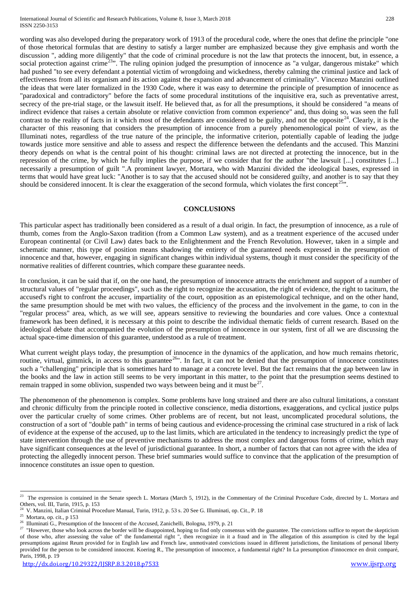of those rhetorical formulas that are destiny to satisfy a larger number are emphasized because they give emphasis and worth the discussion ", adding more diligently" that the code of criminal procedure is not the law that protects the innocent, but, in essence, a social protection against crime<sup>[23](#page-1-6)</sup>". The ruling opinion judged the presumption of innocence as "a vulgar, dangerous mistake" which had pushed "to see every defendant a potential victim of wrongdoing and wickedness, thereby calming the criminal justice and lack of effectiveness from all its organism and its action against the expansion and advancement of criminality". Vincenzo Manzini outlined the ideas that were later formalized in the 1930 Code, where it was easy to determine the principle of presumption of innocence as "paradoxical and contradictory" before the facts of some procedural institutions of the inquisitive era, such as preventative arrest, secrecy of the pre-trial stage, or the lawsuit itself. He believed that, as for all the presumptions, it should be considered "a means of indirect evidence that raises a certain absolute or relative conviction from common experience" and, thus doing so, was seen the full contrast to the reality of facts in it which most of the defendants are considered to be guilty, and not the opposite<sup>24</sup>. Clearly, it is the character of this reasoning that considers the presumption of innocence from a purely phenomenological point of view, as the Illuminati notes, regardless of the true nature of the principle, the informative criterion, potentially capable of leading the judge towards justice more sensitive and able to assess and respect the difference between the defendants and the accused. This Manzini theory depends on what is the central point of his thought: criminal laws are not directed at protecting the innocence, but in the repression of the crime, by which he fully implies the purpose, if we consider that for the author "the lawsuit [...] constitutes [...] necessarily a presumption of guilt ".A prominent lawyer, Mortara, who with Manzini divided the ideological bases, expressed in terms that would have great luck: "Another is to say that the accused should not be considered guilty, and another is to say that they should be considered innocent. It is clear the exaggeration of the second formula, which violates the first concept<sup>25</sup>".

### **CONCLUSIONS**

This particular aspect has traditionally been considered as a result of a dual origin. In fact, the presumption of innocence, as a rule of thumb, comes from the Anglo-Saxon tradition (from a Common Law system), and as a treatment experience of the accused under European continental (or Civil Law) dates back to the Enlightenment and the French Revolution. However, taken in a simple and schematic manner, this type of position means shadowing the entirety of the guaranteed needs expressed in the presumption of innocence and that, however, engaging in significant changes within individual systems, though it must consider the specificity of the normative realities of different countries, which compare these guarantee needs.

In conclusion, it can be said that if, on the one hand, the presumption of innocence attracts the enrichment and support of a number of structural values of "regular proceedings", such as the right to recognize the accusation, the right of evidence, the right to taciturn, the accused's right to confront the accuser, impartiality of the court, opposition as an epistemological technique, and on the other hand, the same presumption should be met with two values, the efficiency of the process and the involvement in the game, to con in the "regular process" area, which, as we will see, appears sensitive to reviewing the boundaries and core values. Once a contextual framework has been defined, it is necessary at this point to describe the individual thematic fields of current research. Based on the ideological debate that accompanied the evolution of the presumption of innocence in our system, first of all we are discussing the actual space-time dimension of this guarantee, understood as a rule of treatment.

What current weight plays today, the presumption of innocence in the dynamics of the application, and how much remains rhetoric, routine, virtual, gimmick, in access to this guarantee<sup>26</sup>". In fact, it can not be denied that the presumption of innocence constitutes such a "challenging" principle that is sometimes hard to manage at a concrete level. But the fact remains that the gap between law in the books and the law in action still seems to be very important in this matter, to the point that the presumption seems destined to remain trapped in some oblivion, suspended two ways between being and it must be<sup>27</sup>.

The phenomenon of the phenomenon is complex. Some problems have long strained and there are also cultural limitations, a constant and chronic difficulty from the principle rooted in collective conscience, media distortions, exaggerations, and cyclical justice pulps over the particular cruelty of some crimes. Other problems are of recent, but not least, uncomplicated procedural solutions, the construction of a sort of "double path" in terms of being cautious and evidence-processing the criminal case structured in a risk of lack of evidence at the expense of the accused, up to the last limits, which are articulated in the tendency to increasingly predict the type of state intervention through the use of preventive mechanisms to address the most complex and dangerous forms of crime, which may have significant consequences at the level of jurisdictional guarantee. In short, a number of factors that can not agree with the idea of protecting the allegedly innocent person. These brief summaries would suffice to convince that the application of the presumption of innocence constitutes an issue open to question.

<sup>&</sup>lt;sup>23</sup> The expression is contained in the Senate speech L. Mortara (March 5, 1912), in the Commentary of the Criminal Procedure Code, directed by L. Mortara and Others, vol. III, Turin, 1915, p. 153

<span id="page-2-0"></span><sup>&</sup>lt;sup>24</sup> V. Manzini, Italian Criminal Procedure Manual, Turin, 1912, p. 53 s. 20 See G. Illuminati, op. Cit., P. 18

<span id="page-2-1"></span><sup>&</sup>lt;sup>25</sup> Mortara, op. cit., p 153

<span id="page-2-2"></span><sup>26</sup> Illuminati G., Presumption of the Innocent of the Accused, Zanichelli, Bologna, 1979, p. 21

<span id="page-2-3"></span><sup>&</sup>lt;sup>27</sup> "However, those who look across the border will be disappointed, hoping to find only consensus with the guarantee. The convictions suffice to report the skepticism of those who, after assessing the value of" the fundamental right ", then recognize in it a fraud and in The allegation of this assumption is cited by the legal presumptions against Reum provided for in English law and French law, unmotivated convictions issued in different jurisdictions, the limitations of personal liberty provided for the person to be considered innocent. Koering R., The presumption of innocence, a fundamental right? In La presumption d'innocence en droit comparé, Paris, 1998, p. 19